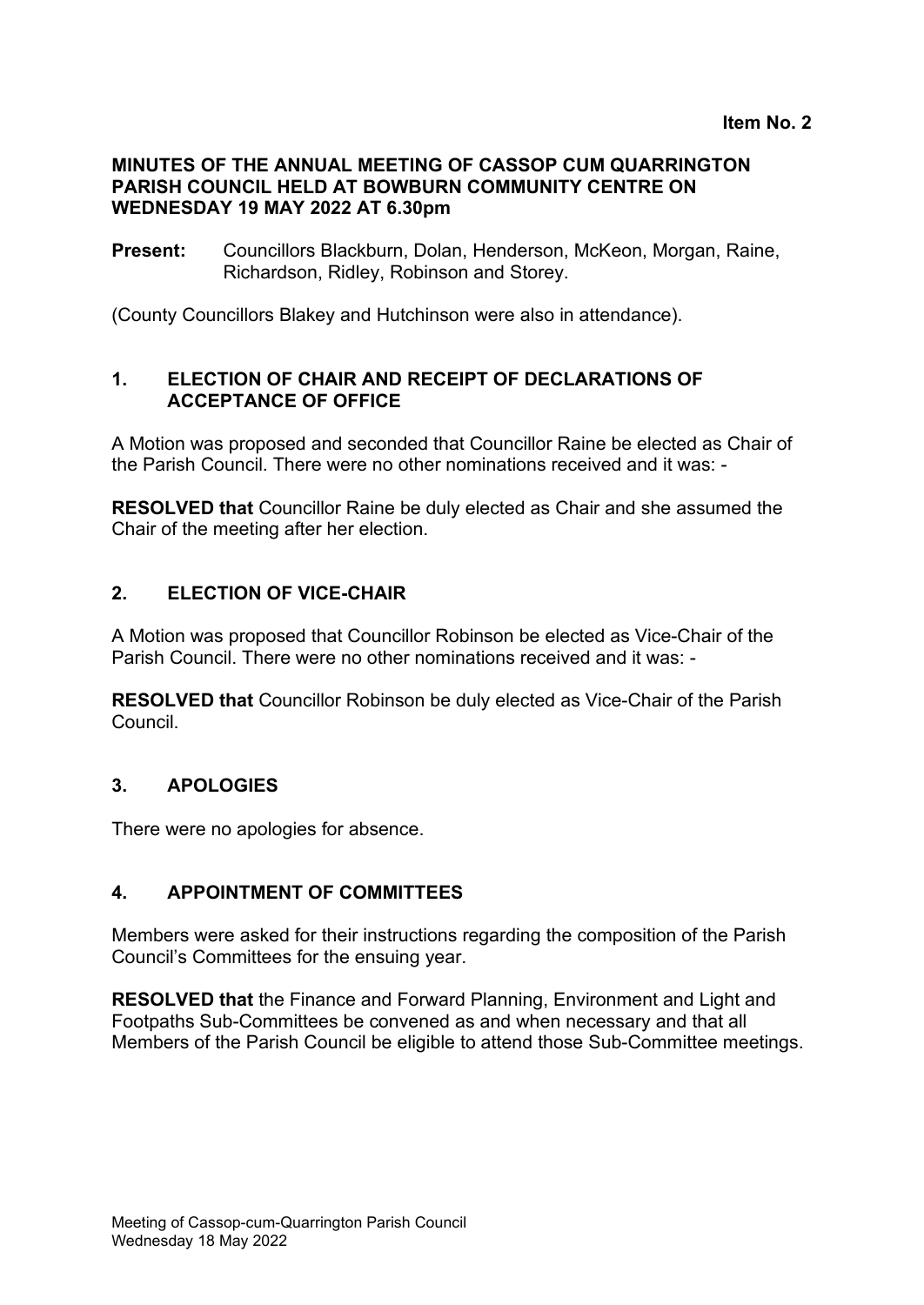#### **MINUTES OF THE ANNUAL MEETING OF CASSOP CUM QUARRINGTON PARISH COUNCIL HELD AT BOWBURN COMMUNITY CENTRE ON WEDNESDAY 19 MAY 2022 AT 6.30pm**

**Present:** Councillors Blackburn, Dolan, Henderson, McKeon, Morgan, Raine, Richardson, Ridley, Robinson and Storey.

(County Councillors Blakey and Hutchinson were also in attendance).

### **1. ELECTION OF CHAIR AND RECEIPT OF DECLARATIONS OF ACCEPTANCE OF OFFICE**

A Motion was proposed and seconded that Councillor Raine be elected as Chair of the Parish Council. There were no other nominations received and it was: -

**RESOLVED that** Councillor Raine be duly elected as Chair and she assumed the Chair of the meeting after her election.

### **2. ELECTION OF VICE-CHAIR**

A Motion was proposed that Councillor Robinson be elected as Vice-Chair of the Parish Council. There were no other nominations received and it was: -

**RESOLVED that** Councillor Robinson be duly elected as Vice-Chair of the Parish Council.

### **3. APOLOGIES**

There were no apologies for absence.

### **4. APPOINTMENT OF COMMITTEES**

Members were asked for their instructions regarding the composition of the Parish Council's Committees for the ensuing year.

**RESOLVED that** the Finance and Forward Planning, Environment and Light and Footpaths Sub-Committees be convened as and when necessary and that all Members of the Parish Council be eligible to attend those Sub-Committee meetings.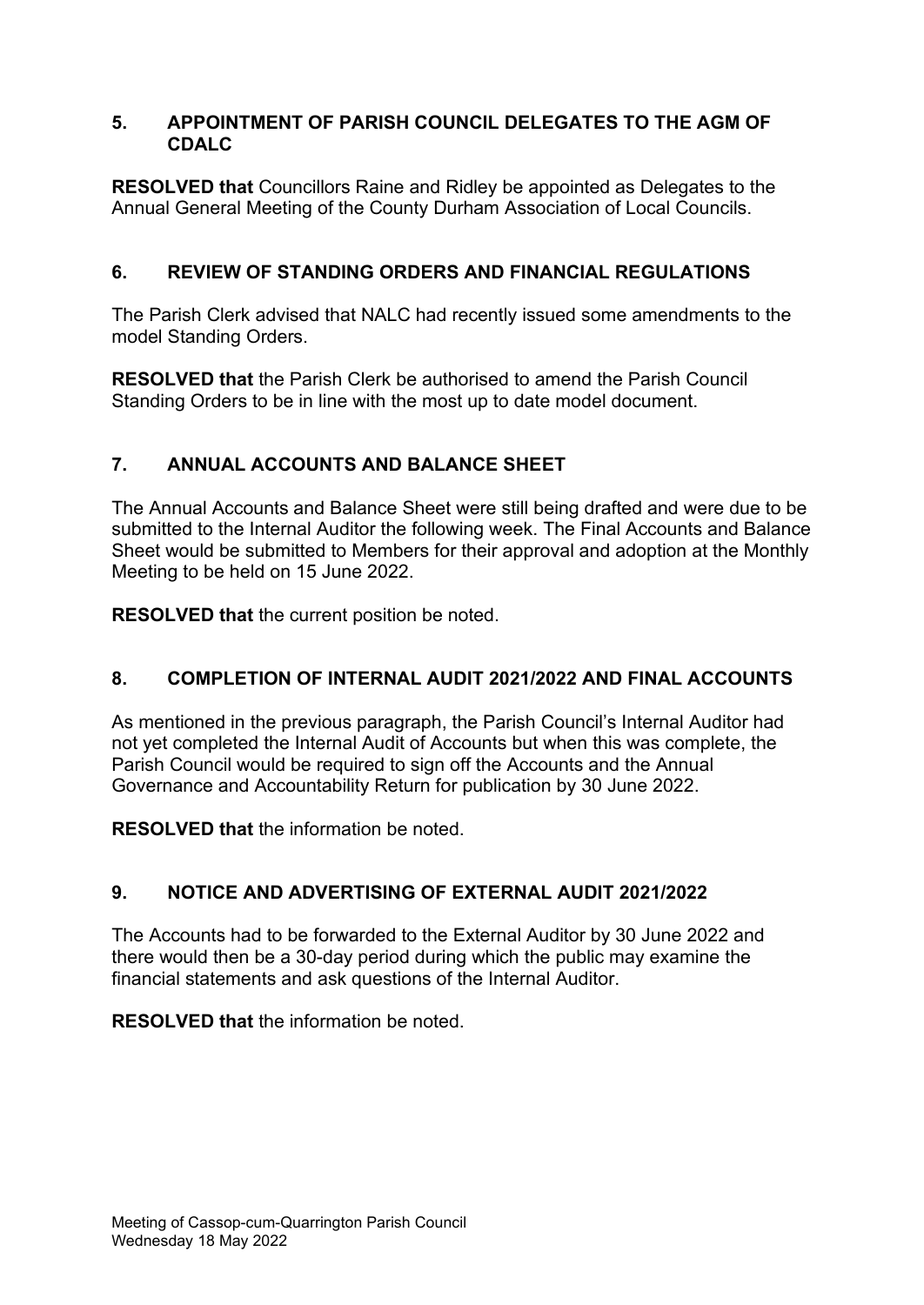### **5. APPOINTMENT OF PARISH COUNCIL DELEGATES TO THE AGM OF CDALC**

**RESOLVED that** Councillors Raine and Ridley be appointed as Delegates to the Annual General Meeting of the County Durham Association of Local Councils.

## **6. REVIEW OF STANDING ORDERS AND FINANCIAL REGULATIONS**

The Parish Clerk advised that NALC had recently issued some amendments to the model Standing Orders.

**RESOLVED that** the Parish Clerk be authorised to amend the Parish Council Standing Orders to be in line with the most up to date model document.

# **7. ANNUAL ACCOUNTS AND BALANCE SHEET**

The Annual Accounts and Balance Sheet were still being drafted and were due to be submitted to the Internal Auditor the following week. The Final Accounts and Balance Sheet would be submitted to Members for their approval and adoption at the Monthly Meeting to be held on 15 June 2022.

**RESOLVED that** the current position be noted.

# **8. COMPLETION OF INTERNAL AUDIT 2021/2022 AND FINAL ACCOUNTS**

As mentioned in the previous paragraph, the Parish Council's Internal Auditor had not yet completed the Internal Audit of Accounts but when this was complete, the Parish Council would be required to sign off the Accounts and the Annual Governance and Accountability Return for publication by 30 June 2022.

**RESOLVED that** the information be noted.

# **9. NOTICE AND ADVERTISING OF EXTERNAL AUDIT 2021/2022**

The Accounts had to be forwarded to the External Auditor by 30 June 2022 and there would then be a 30-day period during which the public may examine the financial statements and ask questions of the Internal Auditor.

**RESOLVED that** the information be noted.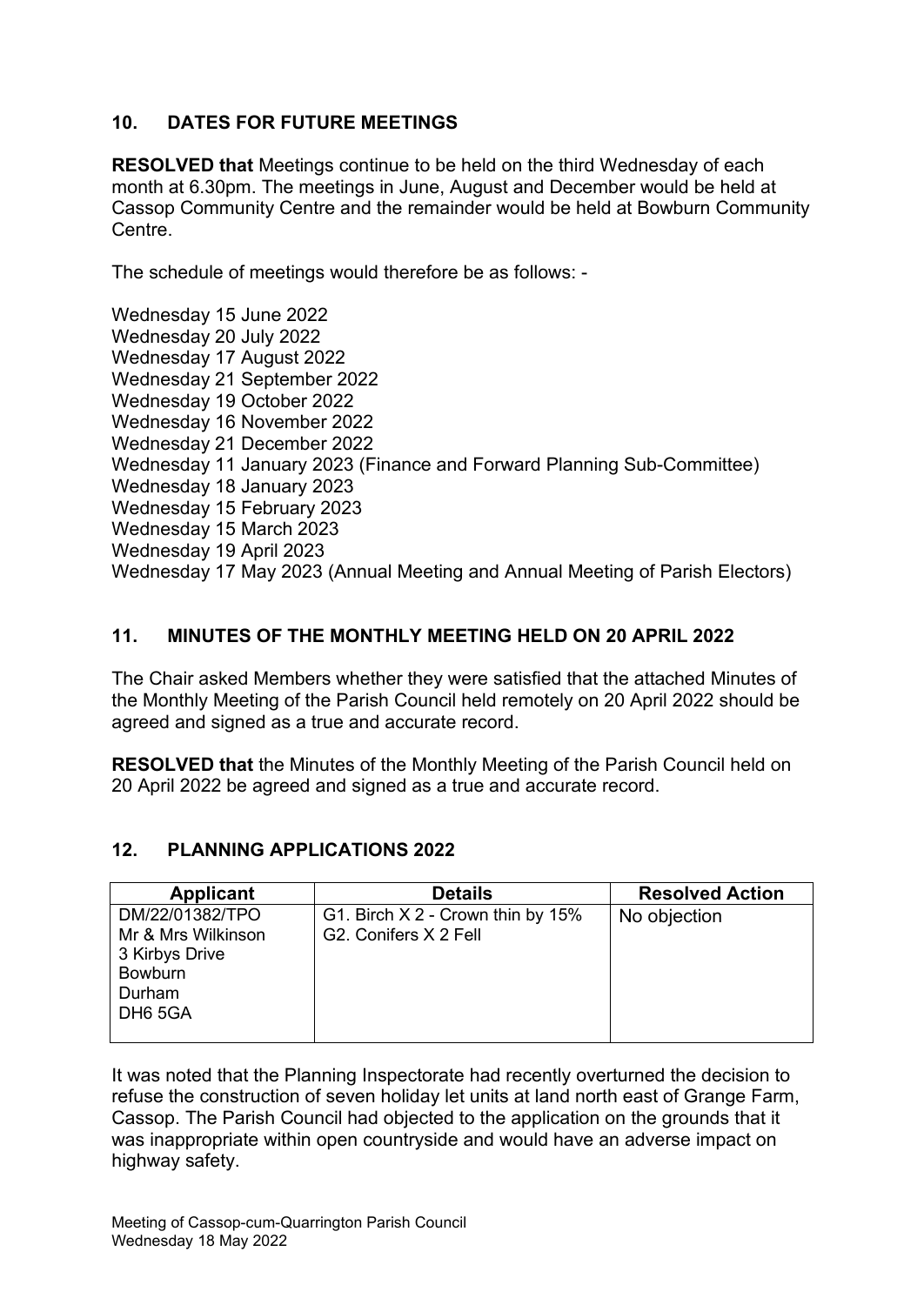### **10. DATES FOR FUTURE MEETINGS**

**RESOLVED that** Meetings continue to be held on the third Wednesday of each month at 6.30pm. The meetings in June, August and December would be held at Cassop Community Centre and the remainder would be held at Bowburn Community Centre.

The schedule of meetings would therefore be as follows: -

Wednesday 15 June 2022 Wednesday 20 July 2022 Wednesday 17 August 2022 Wednesday 21 September 2022 Wednesday 19 October 2022 Wednesday 16 November 2022 Wednesday 21 December 2022 Wednesday 11 January 2023 (Finance and Forward Planning Sub-Committee) Wednesday 18 January 2023 Wednesday 15 February 2023 Wednesday 15 March 2023 Wednesday 19 April 2023 Wednesday 17 May 2023 (Annual Meeting and Annual Meeting of Parish Electors)

## **11. MINUTES OF THE MONTHLY MEETING HELD ON 20 APRIL 2022**

The Chair asked Members whether they were satisfied that the attached Minutes of the Monthly Meeting of the Parish Council held remotely on 20 April 2022 should be agreed and signed as a true and accurate record.

**RESOLVED that** the Minutes of the Monthly Meeting of the Parish Council held on 20 April 2022 be agreed and signed as a true and accurate record.

### **12. PLANNING APPLICATIONS 2022**

| <b>Applicant</b>    | <b>Details</b>                    | <b>Resolved Action</b> |
|---------------------|-----------------------------------|------------------------|
| DM/22/01382/TPO     | G1. Birch X 2 - Crown thin by 15% | No objection           |
| Mr & Mrs Wilkinson  | G2. Conifers X 2 Fell             |                        |
| 3 Kirbys Drive      |                                   |                        |
| <b>Bowburn</b>      |                                   |                        |
| Durham              |                                   |                        |
| DH <sub>6</sub> 5GA |                                   |                        |
|                     |                                   |                        |

It was noted that the Planning Inspectorate had recently overturned the decision to refuse the construction of seven holiday let units at land north east of Grange Farm, Cassop. The Parish Council had objected to the application on the grounds that it was inappropriate within open countryside and would have an adverse impact on highway safety.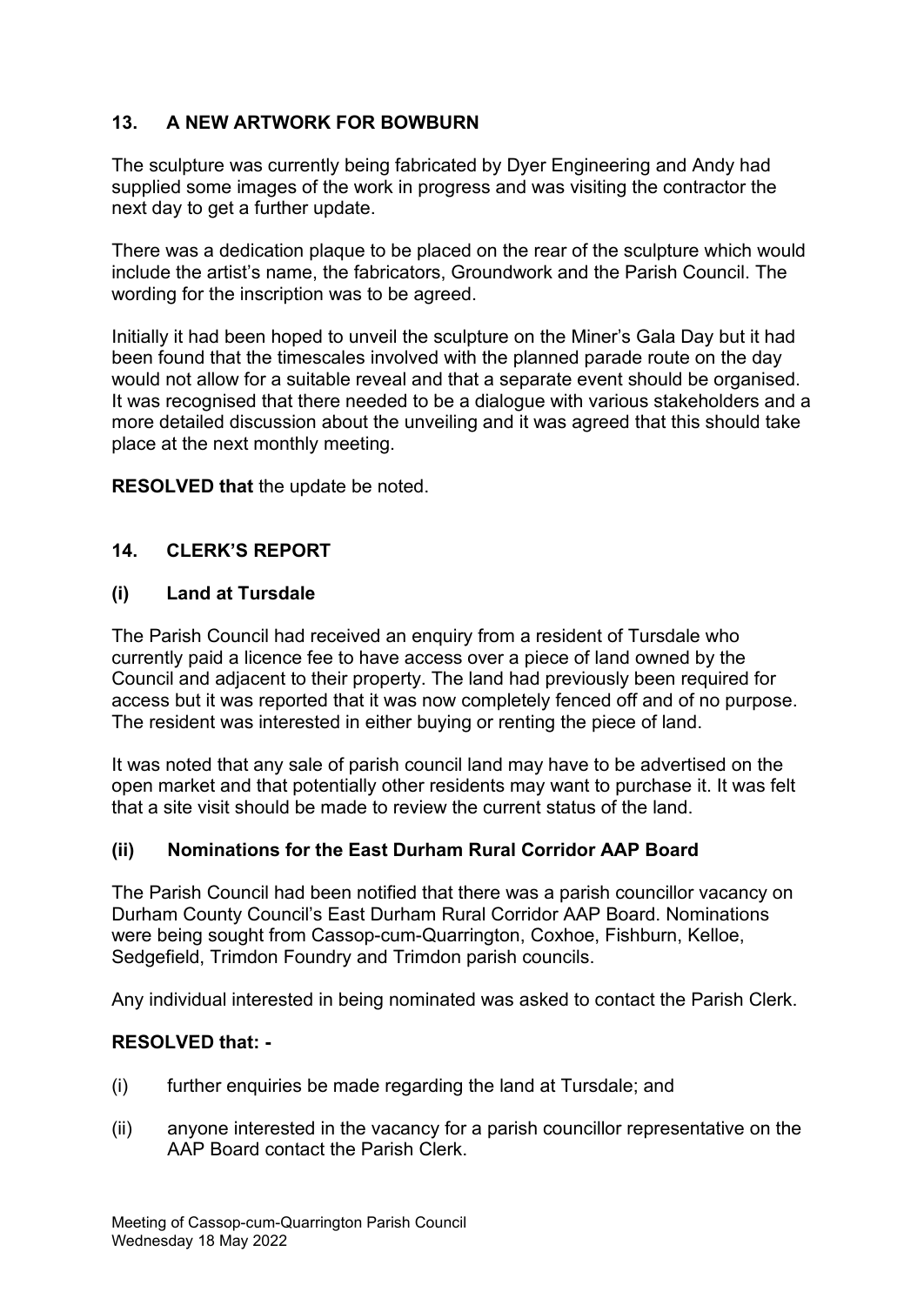# **13. A NEW ARTWORK FOR BOWBURN**

The sculpture was currently being fabricated by Dyer Engineering and Andy had supplied some images of the work in progress and was visiting the contractor the next day to get a further update.

There was a dedication plaque to be placed on the rear of the sculpture which would include the artist's name, the fabricators, Groundwork and the Parish Council. The wording for the inscription was to be agreed.

Initially it had been hoped to unveil the sculpture on the Miner's Gala Day but it had been found that the timescales involved with the planned parade route on the day would not allow for a suitable reveal and that a separate event should be organised. It was recognised that there needed to be a dialogue with various stakeholders and a more detailed discussion about the unveiling and it was agreed that this should take place at the next monthly meeting.

**RESOLVED that** the update be noted.

### **14. CLERK'S REPORT**

#### **(i) Land at Tursdale**

The Parish Council had received an enquiry from a resident of Tursdale who currently paid a licence fee to have access over a piece of land owned by the Council and adjacent to their property. The land had previously been required for access but it was reported that it was now completely fenced off and of no purpose. The resident was interested in either buying or renting the piece of land.

It was noted that any sale of parish council land may have to be advertised on the open market and that potentially other residents may want to purchase it. It was felt that a site visit should be made to review the current status of the land.

### **(ii) Nominations for the East Durham Rural Corridor AAP Board**

The Parish Council had been notified that there was a parish councillor vacancy on Durham County Council's East Durham Rural Corridor AAP Board. Nominations were being sought from Cassop-cum-Quarrington, Coxhoe, Fishburn, Kelloe, Sedgefield, Trimdon Foundry and Trimdon parish councils.

Any individual interested in being nominated was asked to contact the Parish Clerk.

### **RESOLVED that: -**

- (i) further enquiries be made regarding the land at Tursdale; and
- (ii) anyone interested in the vacancy for a parish councillor representative on the AAP Board contact the Parish Clerk.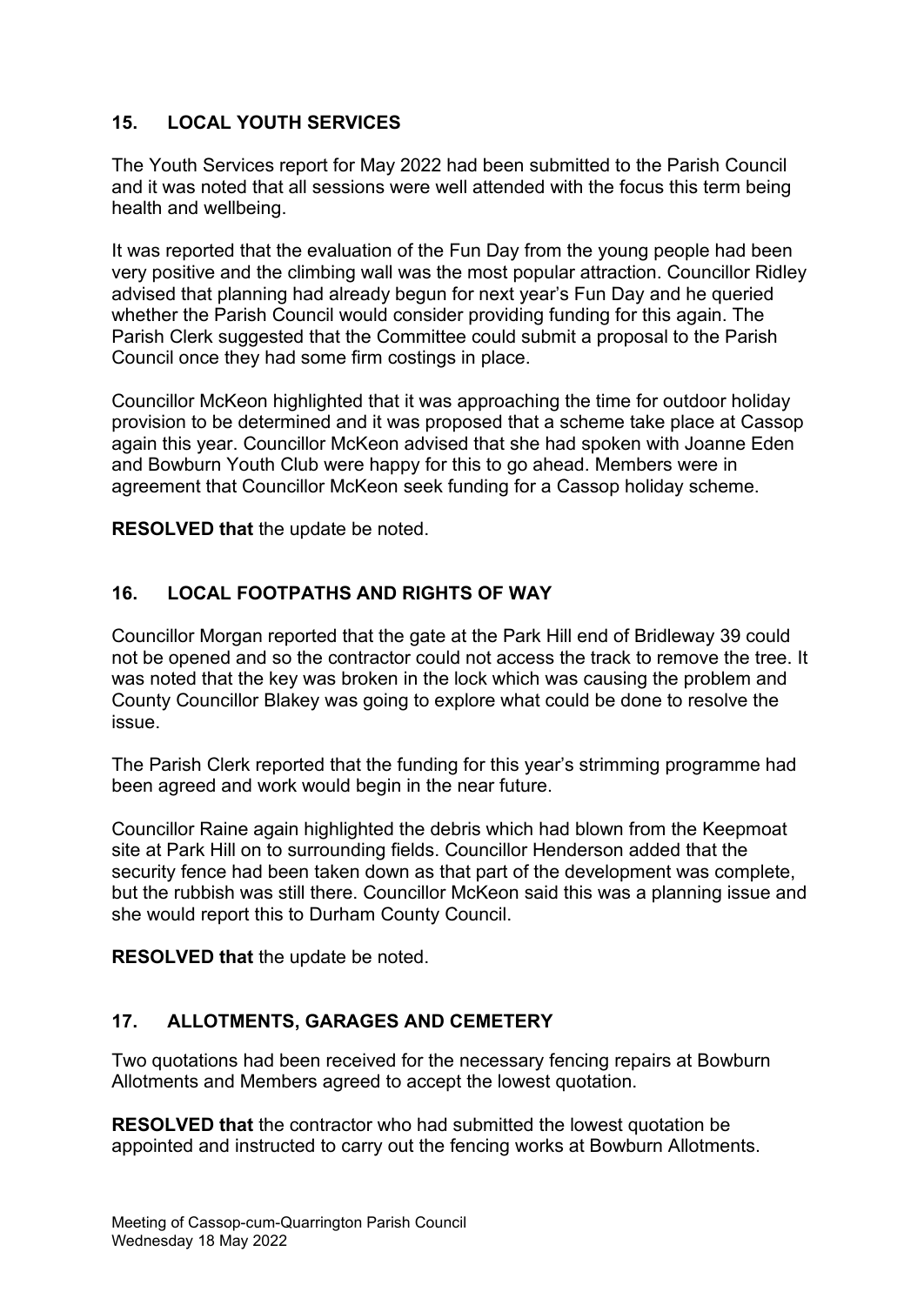## **15. LOCAL YOUTH SERVICES**

The Youth Services report for May 2022 had been submitted to the Parish Council and it was noted that all sessions were well attended with the focus this term being health and wellbeing.

It was reported that the evaluation of the Fun Day from the young people had been very positive and the climbing wall was the most popular attraction. Councillor Ridley advised that planning had already begun for next year's Fun Day and he queried whether the Parish Council would consider providing funding for this again. The Parish Clerk suggested that the Committee could submit a proposal to the Parish Council once they had some firm costings in place.

Councillor McKeon highlighted that it was approaching the time for outdoor holiday provision to be determined and it was proposed that a scheme take place at Cassop again this year. Councillor McKeon advised that she had spoken with Joanne Eden and Bowburn Youth Club were happy for this to go ahead. Members were in agreement that Councillor McKeon seek funding for a Cassop holiday scheme.

**RESOLVED that** the update be noted.

## **16. LOCAL FOOTPATHS AND RIGHTS OF WAY**

Councillor Morgan reported that the gate at the Park Hill end of Bridleway 39 could not be opened and so the contractor could not access the track to remove the tree. It was noted that the key was broken in the lock which was causing the problem and County Councillor Blakey was going to explore what could be done to resolve the issue.

The Parish Clerk reported that the funding for this year's strimming programme had been agreed and work would begin in the near future.

Councillor Raine again highlighted the debris which had blown from the Keepmoat site at Park Hill on to surrounding fields. Councillor Henderson added that the security fence had been taken down as that part of the development was complete, but the rubbish was still there. Councillor McKeon said this was a planning issue and she would report this to Durham County Council.

**RESOLVED that** the update be noted.

### **17. ALLOTMENTS, GARAGES AND CEMETERY**

Two quotations had been received for the necessary fencing repairs at Bowburn Allotments and Members agreed to accept the lowest quotation.

**RESOLVED that** the contractor who had submitted the lowest quotation be appointed and instructed to carry out the fencing works at Bowburn Allotments.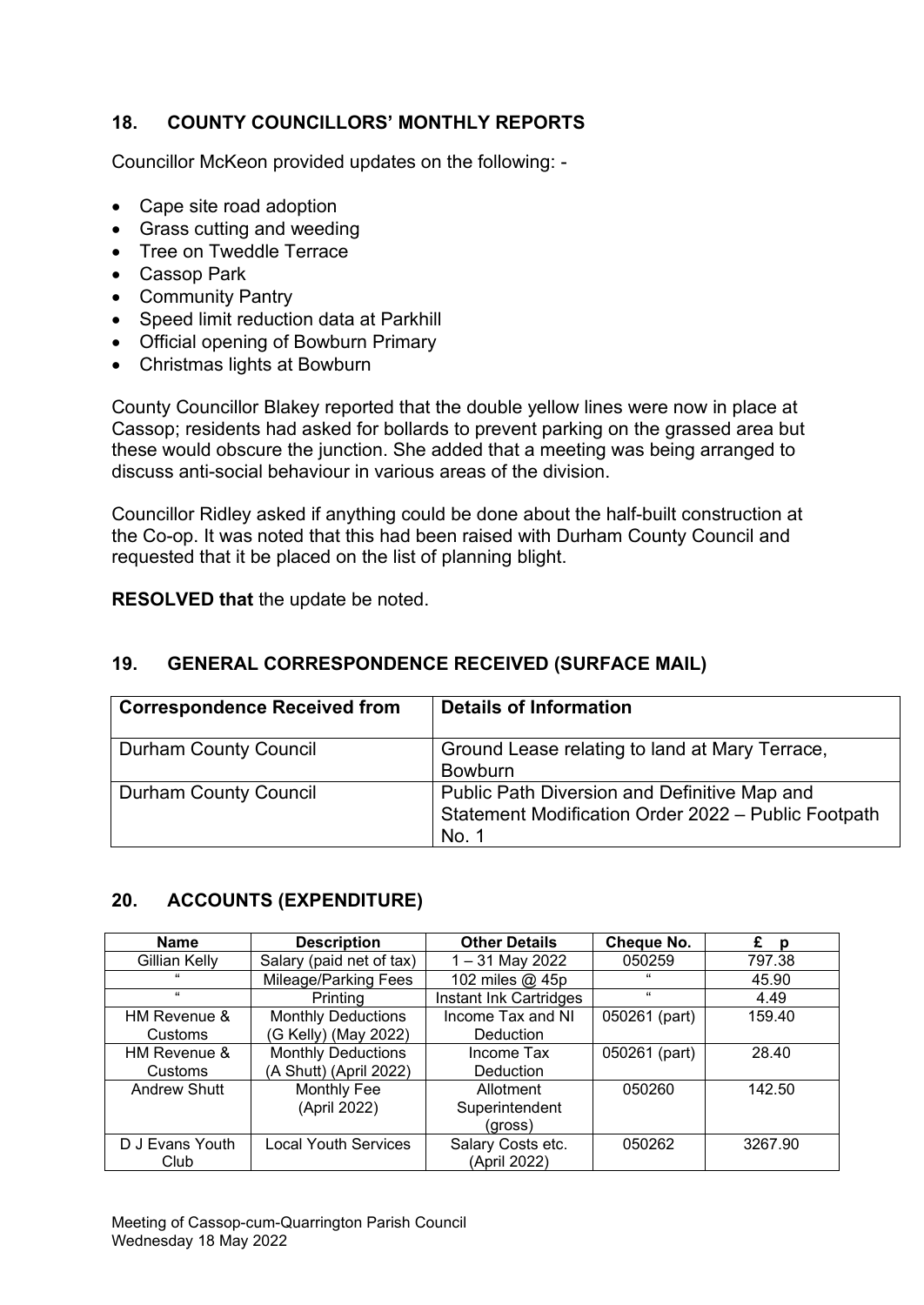## **18. COUNTY COUNCILLORS' MONTHLY REPORTS**

Councillor McKeon provided updates on the following: -

- Cape site road adoption
- Grass cutting and weeding
- Tree on Tweddle Terrace
- Cassop Park
- Community Pantry
- Speed limit reduction data at Parkhill
- Official opening of Bowburn Primary
- Christmas lights at Bowburn

County Councillor Blakey reported that the double yellow lines were now in place at Cassop; residents had asked for bollards to prevent parking on the grassed area but these would obscure the junction. She added that a meeting was being arranged to discuss anti-social behaviour in various areas of the division.

Councillor Ridley asked if anything could be done about the half-built construction at the Co-op. It was noted that this had been raised with Durham County Council and requested that it be placed on the list of planning blight.

**RESOLVED that** the update be noted.

# **19. GENERAL CORRESPONDENCE RECEIVED (SURFACE MAIL)**

| <b>Correspondence Received from</b> | <b>Details of Information</b>                                                                                |
|-------------------------------------|--------------------------------------------------------------------------------------------------------------|
| <b>Durham County Council</b>        | Ground Lease relating to land at Mary Terrace,<br><b>Bowburn</b>                                             |
| <b>Durham County Council</b>        | Public Path Diversion and Definitive Map and<br>Statement Modification Order 2022 - Public Footpath<br>No. 1 |

### **20. ACCOUNTS (EXPENDITURE)**

| <b>Name</b>     | <b>Description</b>                      | <b>Other Details</b>   | <b>Cheque No.</b> | £<br>p  |
|-----------------|-----------------------------------------|------------------------|-------------------|---------|
| Gillian Kelly   | Salary (paid net of tax)                | 1-31 May 2022          | 050259            | 797.38  |
| $\epsilon$      | Mileage/Parking Fees<br>102 miles @ 45p |                        | 66                | 45.90   |
| $\epsilon$      | Printing                                | Instant Ink Cartridges | $\epsilon$        | 4.49    |
| HM Revenue &    | <b>Monthly Deductions</b>               | Income Tax and NI      | 050261 (part)     | 159.40  |
| Customs         | (G Kelly) (May 2022)                    | <b>Deduction</b>       |                   |         |
| HM Revenue &    | <b>Monthly Deductions</b>               | Income Tax             | 050261 (part)     | 28.40   |
| Customs         | (A Shutt) (April 2022)                  | Deduction              |                   |         |
| Andrew Shutt    | <b>Monthly Fee</b>                      | Allotment              | 050260            | 142.50  |
|                 | (April 2022)                            | Superintendent         |                   |         |
|                 |                                         | (gross)                |                   |         |
| D J Evans Youth | <b>Local Youth Services</b>             | Salary Costs etc.      | 050262            | 3267.90 |
| Club            |                                         | (April 2022)           |                   |         |